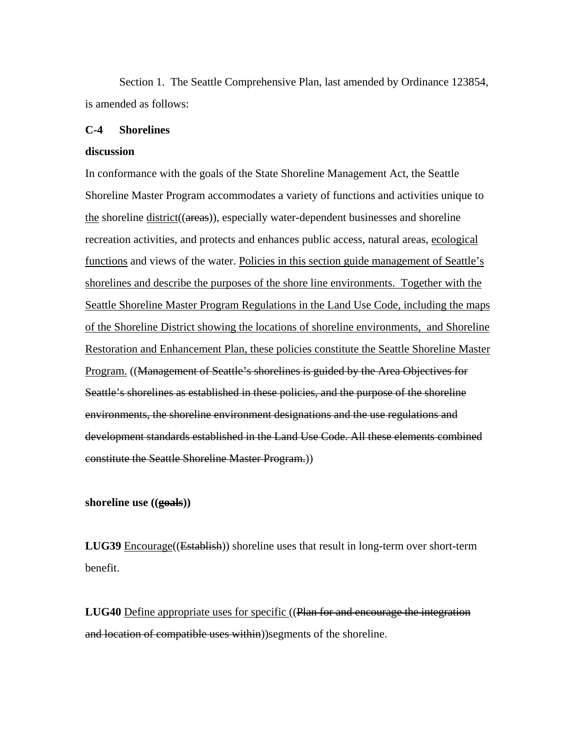Section 1. The Seattle Comprehensive Plan, last amended by Ordinance 123854, is amended as follows:

#### **C-4 Shorelines**

#### **discussion**

In conformance with the goals of the State Shoreline Management Act, the Seattle Shoreline Master Program accommodates a variety of functions and activities unique to the shoreline district((areas)), especially water-dependent businesses and shoreline recreation activities, and protects and enhances public access, natural areas, ecological functions and views of the water. Policies in this section guide management of Seattle's shorelines and describe the purposes of the shore line environments. Together with the Seattle Shoreline Master Program Regulations in the Land Use Code, including the maps of the Shoreline District showing the locations of shoreline environments, and Shoreline Restoration and Enhancement Plan, these policies constitute the Seattle Shoreline Master Program. ((Management of Seattle's shorelines is guided by the Area Objectives for Seattle's shorelines as established in these policies, and the purpose of the shoreline environments, the shoreline environment designations and the use regulations and development standards established in the Land Use Code. All these elements combined constitute the Seattle Shoreline Master Program.))

**shoreline use ((goals))** 

**LUG39** Encourage((Establish)) shoreline uses that result in long-term over short-term benefit.

**LUG40** Define appropriate uses for specific ((Plan for and encourage the integration and location of compatible uses within))segments of the shoreline.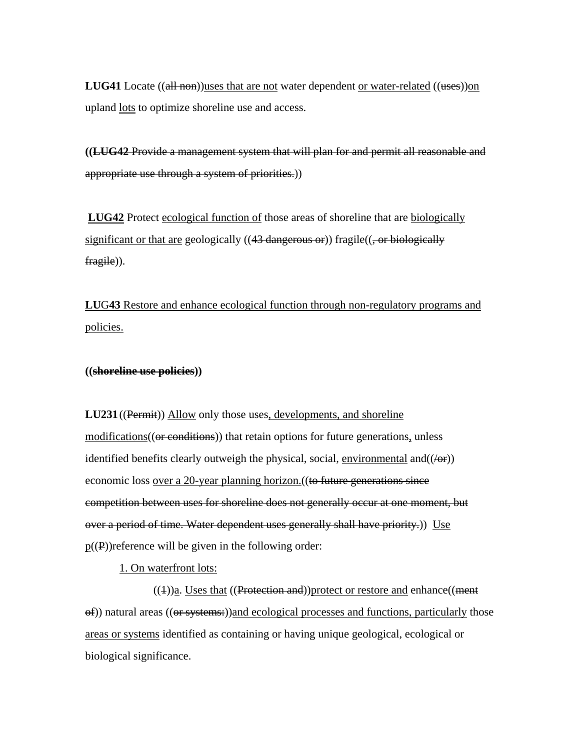**LUG41** Locate ((all non))uses that are not water dependent or water-related ((uses))on upland <u>lots</u> to optimize shoreline use and access.

**((LUG42** Provide a management system that will plan for and permit all reasonable and appropriate use through a system of priorities.))

**LUG42** Protect ecological function of those areas of shoreline that are biologically significant or that are geologically  $((43 \text{ dangerous or}))$  fragile $((, or \text{biologically})$ fragile)).

**LU**G**43** Restore and enhance ecological function through non-regulatory programs and policies.

**((shoreline use policies))** 

**LU231** ((Permit)) Allow only those uses, developments, and shoreline modifications((or conditions)) that retain options for future generations, unless identified benefits clearly outweigh the physical, social, environmental and  $((\theta \cdot \mathbf{r}))$ economic loss <u>over a 20-year planning horizon.</u> ((to future generations since competition between uses for shoreline does not generally occur at one moment, but over a period of time. Water dependent uses generally shall have priority.)) Use  $p(P)$ ) reference will be given in the following order:

1. On waterfront lots:

 $((1))$ a. Uses that  $((**Protection and**))$  protect or restore and enhance $((**ment**$  $\Theta$ ) natural areas (( $\Theta$  systems:))and ecological processes and functions, particularly those areas or systems identified as containing or having unique geological, ecological or biological significance.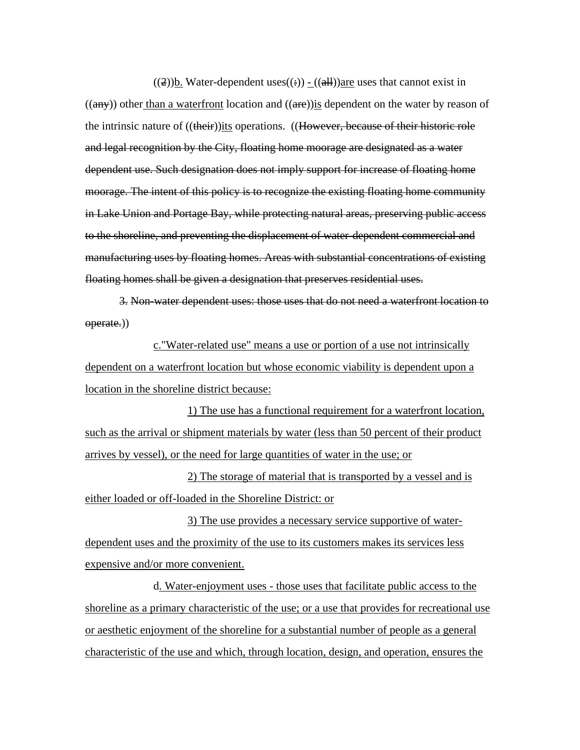((2))**b.** Water-dependent uses((:))  $-($  (all)) <u>are</u> uses that cannot exist in  $((a\rightarrow a)\rightarrow b)$  other than a waterfront location and  $((a\rightarrow b)\text{is}$  dependent on the water by reason of the intrinsic nature of ((their))its operations. ((However, because of their historic role and legal recognition by the City, floating home moorage are designated as a water dependent use. Such designation does not imply support for increase of floating home moorage. The intent of this policy is to recognize the existing floating home community in Lake Union and Portage Bay, while protecting natural areas, preserving public access to the shoreline, and preventing the displacement of water-dependent commercial and manufacturing uses by floating homes. Areas with substantial concentrations of existing floating homes shall be given a designation that preserves residential uses.

3. Non-water dependent uses: those uses that do not need a waterfront location to operate.))

c."Water-related use" means a use or portion of a use not intrinsically dependent on a waterfront location but whose economic viability is dependent upon a location in the shoreline district because:

1) The use has a functional requirement for a waterfront location, such as the arrival or shipment materials by water (less than 50 percent of their product arrives by vessel), or the need for large quantities of water in the use; or

2) The storage of material that is transported by a vessel and is either loaded or off-loaded in the Shoreline District: or

3) The use provides a necessary service supportive of waterdependent uses and the proximity of the use to its customers makes its services less expensive and/or more convenient.

d. Water-enjoyment uses - those uses that facilitate public access to the shoreline as a primary characteristic of the use; or a use that provides for recreational use or aesthetic enjoyment of the shoreline for a substantial number of people as a general characteristic of the use and which, through location, design, and operation, ensures the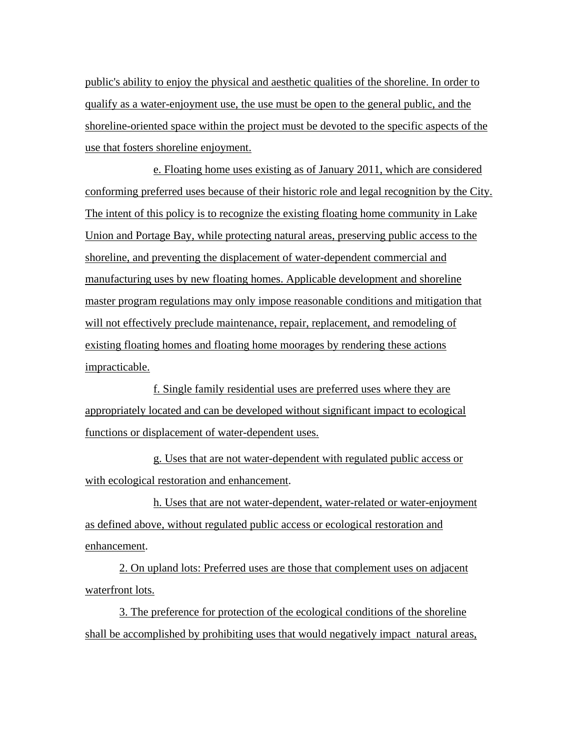public's ability to enjoy the physical and aesthetic qualities of the shoreline. In order to qualify as a water-enjoyment use, the use must be open to the general public, and the shoreline-oriented space within the project must be devoted to the specific aspects of the use that fosters shoreline enjoyment.

e. Floating home uses existing as of January 2011, which are considered conforming preferred uses because of their historic role and legal recognition by the City. The intent of this policy is to recognize the existing floating home community in Lake Union and Portage Bay, while protecting natural areas, preserving public access to the shoreline, and preventing the displacement of water-dependent commercial and manufacturing uses by new floating homes. Applicable development and shoreline master program regulations may only impose reasonable conditions and mitigation that will not effectively preclude maintenance, repair, replacement, and remodeling of existing floating homes and floating home moorages by rendering these actions impracticable.

f. Single family residential uses are preferred uses where they are appropriately located and can be developed without significant impact to ecological functions or displacement of water-dependent uses.

g. Uses that are not water-dependent with regulated public access or with ecological restoration and enhancement.

h. Uses that are not water-dependent, water-related or water-enjoyment as defined above, without regulated public access or ecological restoration and enhancement.

2. On upland lots: Preferred uses are those that complement uses on adjacent waterfront lots.

3. The preference for protection of the ecological conditions of the shoreline shall be accomplished by prohibiting uses that would negatively impact natural areas,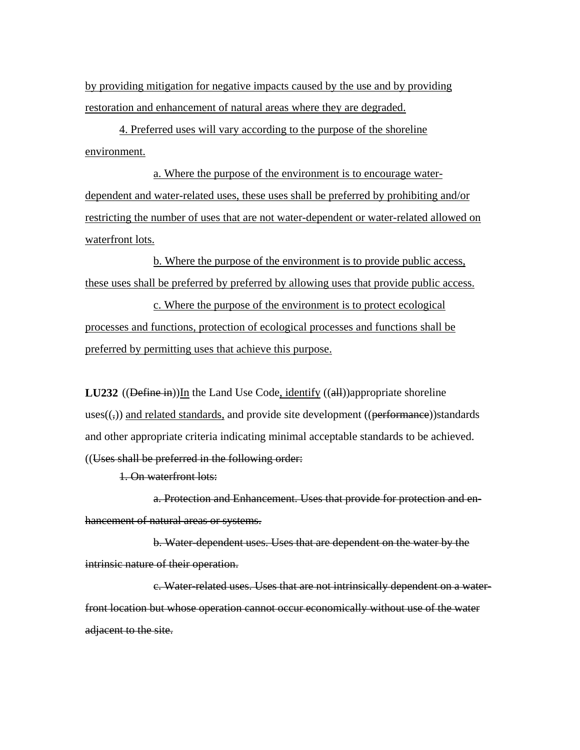by providing mitigation for negative impacts caused by the use and by providing restoration and enhancement of natural areas where they are degraded.

4. Preferred uses will vary according to the purpose of the shoreline environment.

a. Where the purpose of the environment is to encourage waterdependent and water-related uses, these uses shall be preferred by prohibiting and/or restricting the number of uses that are not water-dependent or water-related allowed on waterfront lots.

b. Where the purpose of the environment is to provide public access, these uses shall be preferred by preferred by allowing uses that provide public access.

c. Where the purpose of the environment is to protect ecological processes and functions, protection of ecological processes and functions shall be preferred by permitting uses that achieve this purpose.

**LU232** ((Define in))In the Land Use Code, identify ((all))appropriate shoreline uses $((,))$  and related standards, and provide site development ((performance))standards and other appropriate criteria indicating minimal acceptable standards to be achieved. ((Uses shall be preferred in the following order:

1. On waterfront lots:

a. Protection and Enhancement. Uses that provide for protection and enhancement of natural areas or systems.

b. Water-dependent uses. Uses that are dependent on the water by the intrinsic nature of their operation.

c. Water-related uses. Uses that are not intrinsically dependent on a waterfront location but whose operation cannot occur economically without use of the water adjacent to the site.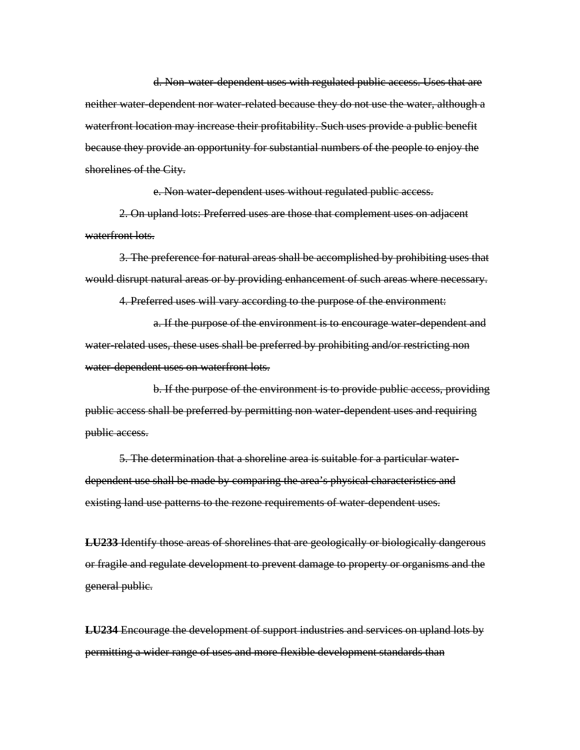d. Non-water-dependent uses with regulated public access. Uses that are neither water-dependent nor water-related because they do not use the water, although a waterfront location may increase their profitability. Such uses provide a public benefit because they provide an opportunity for substantial numbers of the people to enjoy the shorelines of the City.

e. Non water-dependent uses without regulated public access.

2. On upland lots: Preferred uses are those that complement uses on adjacent waterfront lots.

3. The preference for natural areas shall be accomplished by prohibiting uses that would disrupt natural areas or by providing enhancement of such areas where necessary.

4. Preferred uses will vary according to the purpose of the environment:

a. If the purpose of the environment is to encourage water-dependent and water-related uses, these uses shall be preferred by prohibiting and/or restricting non water-dependent uses on waterfront lots.

b. If the purpose of the environment is to provide public access, providing public access shall be preferred by permitting non water-dependent uses and requiring public access.

5. The determination that a shoreline area is suitable for a particular waterdependent use shall be made by comparing the area's physical characteristics and existing land use patterns to the rezone requirements of water-dependent uses.

**LU233** Identify those areas of shorelines that are geologically or biologically dangerous or fragile and regulate development to prevent damage to property or organisms and the general public.

**LU234** Encourage the development of support industries and services on upland lots by permitting a wider range of uses and more flexible development standards than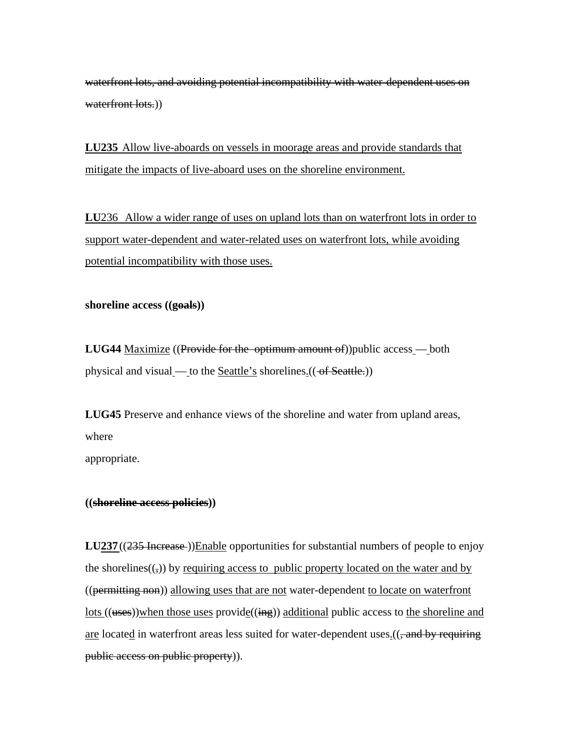waterfront lots, and avoiding potential incompatibility with water-dependent uses on waterfront lots.)

**LU235** Allow live-aboards on vessels in moorage areas and provide standards that mitigate the impacts of live-aboard uses on the shoreline environment.

**LU**236 Allow a wider range of uses on upland lots than on waterfront lots in order to support water-dependent and water-related uses on waterfront lots, while avoiding potential incompatibility with those uses.

**shoreline access ((goals))** 

**LUG44** Maximize ((Provide for the optimum amount of))public access — both physical and visual — to the Seattle's shorelines. $((\neg f \text{ Seattle.}))$ 

**LUG45** Preserve and enhance views of the shoreline and water from upland areas, where

appropriate.

### **((shoreline access policies))**

**LU237** ((235 Increase))Enable opportunities for substantial numbers of people to enjoy the shorelines $((,))$  by requiring access to public property located on the water and by ((permitting non)) allowing uses that are not water-dependent to locate on waterfront  $lots$  ((uses))when those uses provide((ing)) additional public access to the shoreline and</u> are located in waterfront areas less suited for water-dependent uses. ((, and by requiring public access on public property)).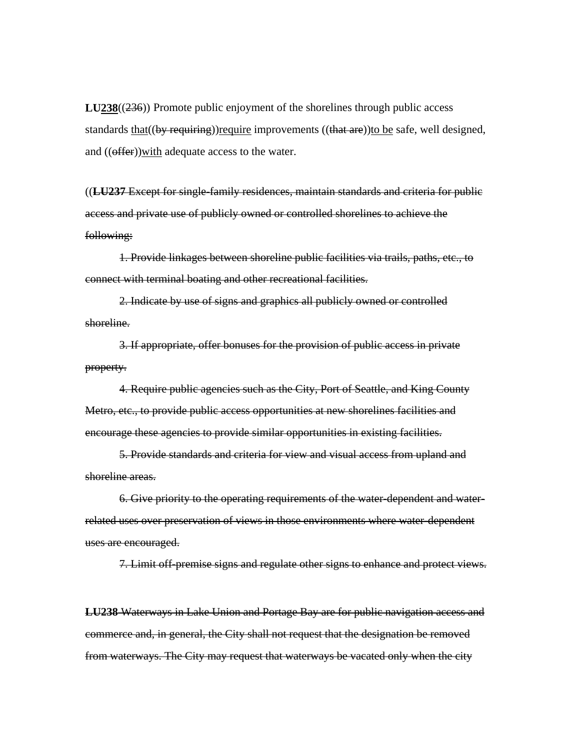**LU238**((236)) Promote public enjoyment of the shorelines through public access standards that((by requiring))require improvements ((that are))to be safe, well designed, and (( $\theta$ ffer)) with adequate access to the water.

((**LU237** Except for single-family residences, maintain standards and criteria for public access and private use of publicly owned or controlled shorelines to achieve the following:

1. Provide linkages between shoreline public facilities via trails, paths, etc., to connect with terminal boating and other recreational facilities.

2. Indicate by use of signs and graphics all publicly owned or controlled shoreline.

3. If appropriate, offer bonuses for the provision of public access in private property.

4. Require public agencies such as the City, Port of Seattle, and King County Metro, etc., to provide public access opportunities at new shorelines facilities and encourage these agencies to provide similar opportunities in existing facilities.

5. Provide standards and criteria for view and visual access from upland and shoreline areas.

6. Give priority to the operating requirements of the water-dependent and waterrelated uses over preservation of views in those environments where water-dependent uses are encouraged.

7. Limit off-premise signs and regulate other signs to enhance and protect views.

**LU238** Waterways in Lake Union and Portage Bay are for public navigation access and commerce and, in general, the City shall not request that the designation be removed from waterways. The City may request that waterways be vacated only when the city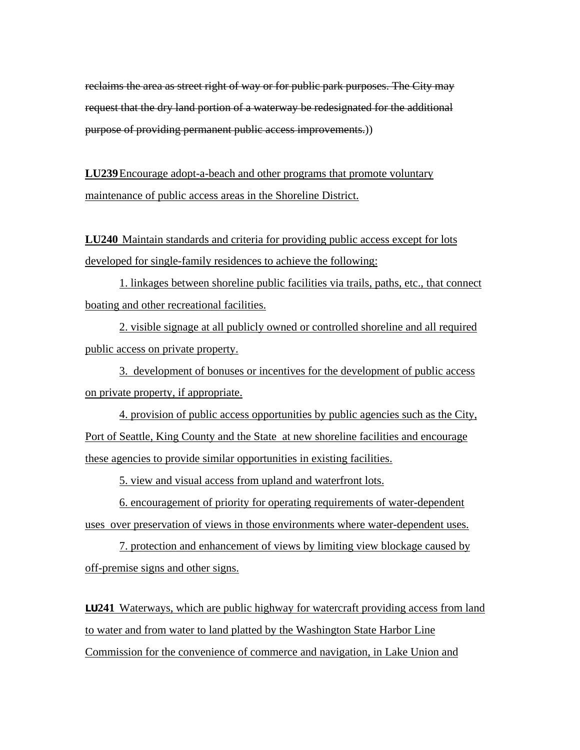reclaims the area as street right of way or for public park purposes. The City may request that the dry land portion of a waterway be redesignated for the additional purpose of providing permanent public access improvements.))

**LU239** Encourage adopt-a-beach and other programs that promote voluntary maintenance of public access areas in the Shoreline District.

**LU240** Maintain standards and criteria for providing public access except for lots developed for single-family residences to achieve the following:

1. linkages between shoreline public facilities via trails, paths, etc., that connect boating and other recreational facilities.

2. visible signage at all publicly owned or controlled shoreline and all required public access on private property.

3. development of bonuses or incentives for the development of public access on private property, if appropriate.

4. provision of public access opportunities by public agencies such as the City, Port of Seattle, King County and the State at new shoreline facilities and encourage these agencies to provide similar opportunities in existing facilities.

5. view and visual access from upland and waterfront lots.

6. encouragement of priority for operating requirements of water-dependent uses over preservation of views in those environments where water-dependent uses.

7. protection and enhancement of views by limiting view blockage caused by off-premise signs and other signs.

**LU241** Waterways, which are public highway for watercraft providing access from land to water and from water to land platted by the Washington State Harbor Line Commission for the convenience of commerce and navigation, in Lake Union and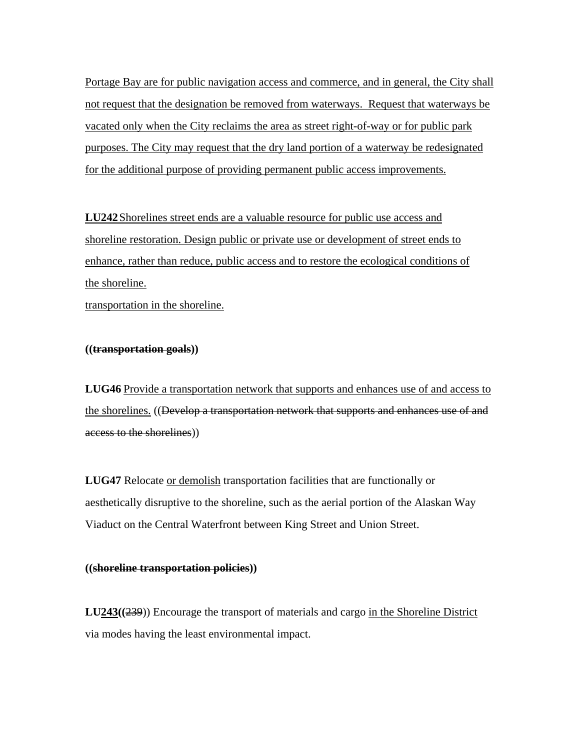Portage Bay are for public navigation access and commerce, and in general, the City shall not request that the designation be removed from waterways. Request that waterways be vacated only when the City reclaims the area as street right-of-way or for public park purposes. The City may request that the dry land portion of a waterway be redesignated for the additional purpose of providing permanent public access improvements.

**LU242** Shorelines street ends are a valuable resource for public use access and shoreline restoration. Design public or private use or development of street ends to enhance, rather than reduce, public access and to restore the ecological conditions of the shoreline.

transportation in the shoreline.

### **((transportation goals))**

**LUG46** Provide a transportation network that supports and enhances use of and access to the shorelines. ((Develop a transportation network that supports and enhances use of and access to the shorelines))

**LUG47** Relocate or demolish transportation facilities that are functionally or aesthetically disruptive to the shoreline, such as the aerial portion of the Alaskan Way Viaduct on the Central Waterfront between King Street and Union Street.

#### **((shoreline transportation policies))**

**LU243((**239)) Encourage the transport of materials and cargo in the Shoreline District via modes having the least environmental impact.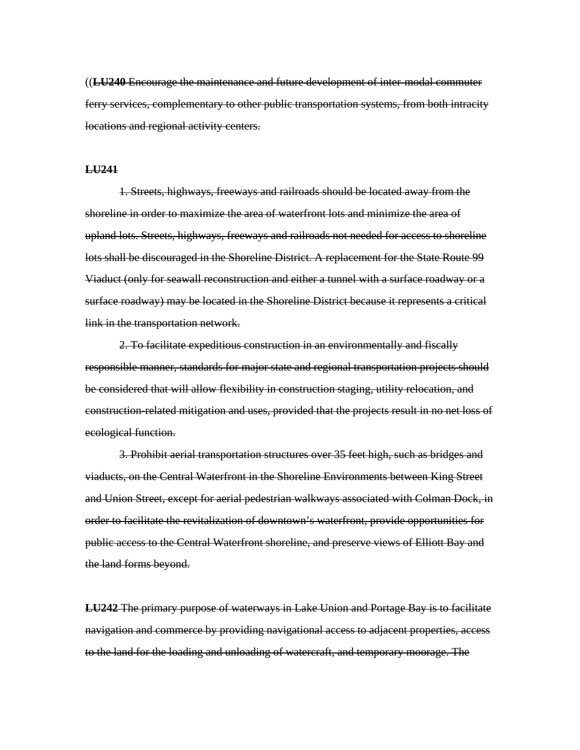((**LU240** Encourage the maintenance and future development of inter-modal commuter ferry services, complementary to other public transportation systems, from both intracity locations and regional activity centers.

#### **LU241**

1. Streets, highways, freeways and railroads should be located away from the shoreline in order to maximize the area of waterfront lots and minimize the area of upland lots. Streets, highways, freeways and railroads not needed for access to shoreline lots shall be discouraged in the Shoreline District. A replacement for the State Route 99 Viaduct (only for seawall reconstruction and either a tunnel with a surface roadway or a surface roadway) may be located in the Shoreline District because it represents a critical link in the transportation network.

2. To facilitate expeditious construction in an environmentally and fiscally responsible manner, standards for major state and regional transportation projects should be considered that will allow flexibility in construction staging, utility relocation, and construction-related mitigation and uses, provided that the projects result in no net loss of ecological function.

3. Prohibit aerial transportation structures over 35 feet high, such as bridges and viaducts, on the Central Waterfront in the Shoreline Environments between King Street and Union Street, except for aerial pedestrian walkways associated with Colman Dock, in order to facilitate the revitalization of downtown's waterfront, provide opportunities for public access to the Central Waterfront shoreline, and preserve views of Elliott Bay and the land forms beyond.

**LU242** The primary purpose of waterways in Lake Union and Portage Bay is to facilitate navigation and commerce by providing navigational access to adjacent properties, access to the land for the loading and unloading of watercraft, and temporary moorage. The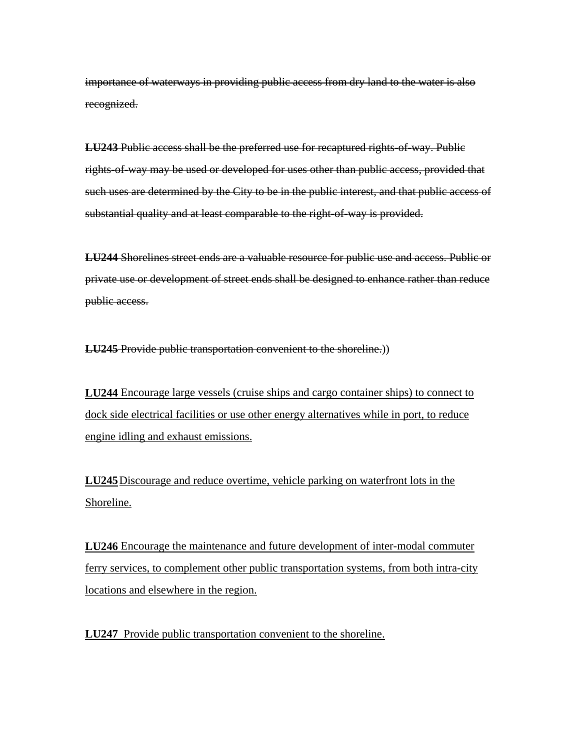importance of waterways in providing public access from dry land to the water is also recognized.

**LU243** Public access shall be the preferred use for recaptured rights-of-way. Public rights-of-way may be used or developed for uses other than public access, provided that such uses are determined by the City to be in the public interest, and that public access of substantial quality and at least comparable to the right-of-way is provided.

**LU244** Shorelines street ends are a valuable resource for public use and access. Public or private use or development of street ends shall be designed to enhance rather than reduce public access.

**LU245** Provide public transportation convenient to the shoreline.)

**LU244** Encourage large vessels (cruise ships and cargo container ships) to connect to dock side electrical facilities or use other energy alternatives while in port, to reduce engine idling and exhaust emissions.

**LU245** Discourage and reduce overtime, vehicle parking on waterfront lots in the Shoreline.

**LU246** Encourage the maintenance and future development of inter-modal commuter ferry services, to complement other public transportation systems, from both intra-city locations and elsewhere in the region.

**LU247** Provide public transportation convenient to the shoreline.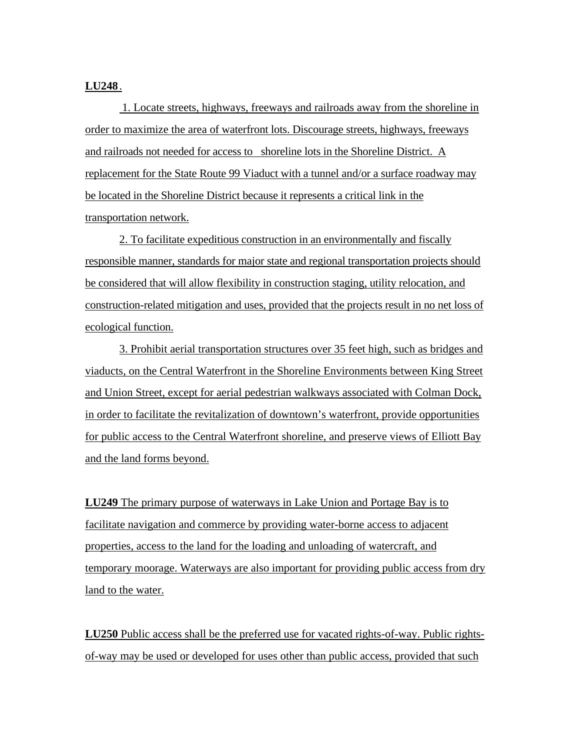### **LU248** .

 1. Locate streets, highways, freeways and railroads away from the shoreline in order to maximize the area of waterfront lots. Discourage streets, highways, freeways and railroads not needed for access to shoreline lots in the Shoreline District. A replacement for the State Route 99 Viaduct with a tunnel and/or a surface roadway may be located in the Shoreline District because it represents a critical link in the transportation network.

2. To facilitate expeditious construction in an environmentally and fiscally responsible manner, standards for major state and regional transportation projects should be considered that will allow flexibility in construction staging, utility relocation, and construction-related mitigation and uses, provided that the projects result in no net loss of ecological function.

3. Prohibit aerial transportation structures over 35 feet high, such as bridges and viaducts, on the Central Waterfront in the Shoreline Environments between King Street and Union Street, except for aerial pedestrian walkways associated with Colman Dock, in order to facilitate the revitalization of downtown's waterfront, provide opportunities for public access to the Central Waterfront shoreline, and preserve views of Elliott Bay and the land forms beyond.

**LU249** The primary purpose of waterways in Lake Union and Portage Bay is to facilitate navigation and commerce by providing water-borne access to adjacent properties, access to the land for the loading and unloading of watercraft, and temporary moorage. Waterways are also important for providing public access from dry land to the water.

**LU250** Public access shall be the preferred use for vacated rights-of-way. Public rightsof-way may be used or developed for uses other than public access, provided that such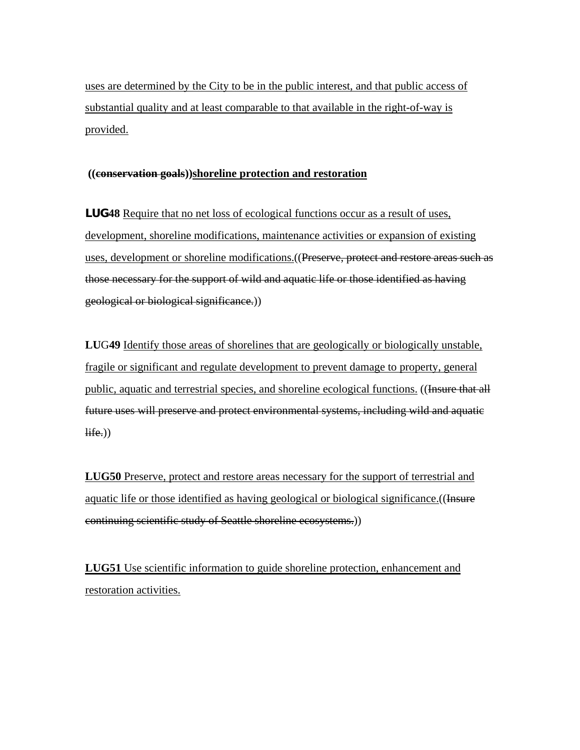uses are determined by the City to be in the public interest, and that public access of substantial quality and at least comparable to that available in the right-of-way is provided.

### **((conservation goals))shoreline protection and restoration**

**LUG48** Require that no net loss of ecological functions occur as a result of uses, development, shoreline modifications, maintenance activities or expansion of existing uses, development or shoreline modifications.((Preserve, protect and restore areas such as those necessary for the support of wild and aquatic life or those identified as having geological or biological significance.))

**LU**G**49** Identify those areas of shorelines that are geologically or biologically unstable, fragile or significant and regulate development to prevent damage to property, general public, aquatic and terrestrial species, and shoreline ecological functions. ((Hesure that all future uses will preserve and protect environmental systems, including wild and aquatic  $\overline{\text{life.}}$ )

**LUG50** Preserve, protect and restore areas necessary for the support of terrestrial and aquatic life or those identified as having geological or biological significance. ((Insure continuing scientific study of Seattle shoreline ecosystems.))

**LUG51** Use scientific information to guide shoreline protection, enhancement and restoration activities.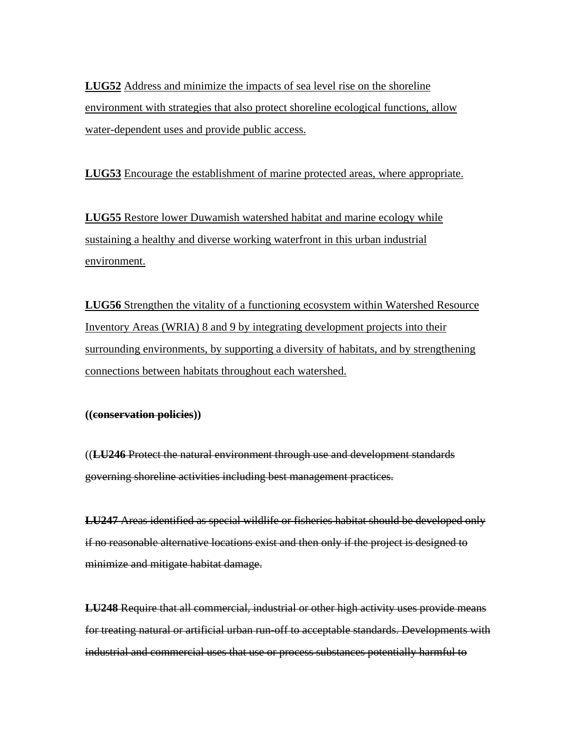**LUG52** Address and minimize the impacts of sea level rise on the shoreline environment with strategies that also protect shoreline ecological functions, allow water-dependent uses and provide public access.

**LUG53** Encourage the establishment of marine protected areas, where appropriate.

**LUG55** Restore lower Duwamish watershed habitat and marine ecology while sustaining a healthy and diverse working waterfront in this urban industrial environment.

**LUG56** Strengthen the vitality of a functioning ecosystem within Watershed Resource Inventory Areas (WRIA) 8 and 9 by integrating development projects into their surrounding environments, by supporting a diversity of habitats, and by strengthening connections between habitats throughout each watershed.

### **((conservation policies))**

((**LU246** Protect the natural environment through use and development standards governing shoreline activities including best management practices.

**LU247** Areas identified as special wildlife or fisheries habitat should be developed only if no reasonable alternative locations exist and then only if the project is designed to minimize and mitigate habitat damage.

**LU248** Require that all commercial, industrial or other high activity uses provide means for treating natural or artificial urban run-off to acceptable standards. Developments with industrial and commercial uses that use or process substances potentially harmful to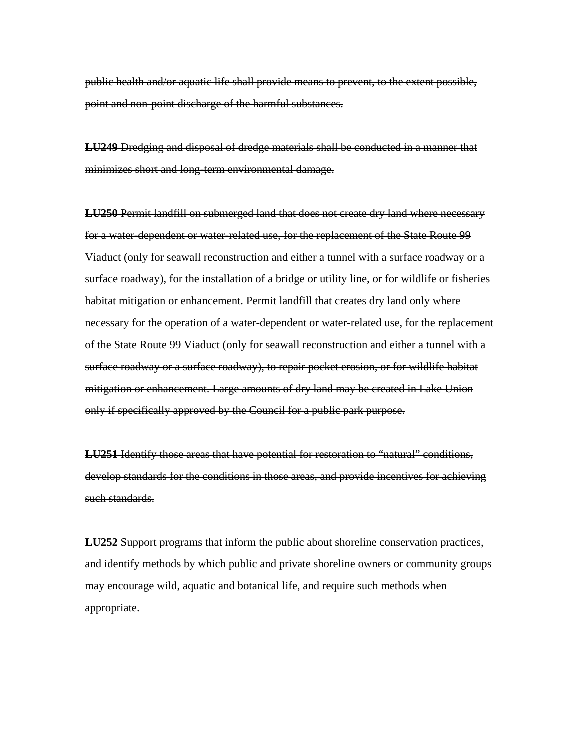public health and/or aquatic life shall provide means to prevent, to the extent possible, point and non-point discharge of the harmful substances.

**LU249** Dredging and disposal of dredge materials shall be conducted in a manner that minimizes short and long-term environmental damage.

**LU250** Permit landfill on submerged land that does not create dry land where necessary for a water-dependent or water-related use, for the replacement of the State Route 99 Viaduct (only for seawall reconstruction and either a tunnel with a surface roadway or a surface roadway), for the installation of a bridge or utility line, or for wildlife or fisheries habitat mitigation or enhancement. Permit landfill that creates dry land only where necessary for the operation of a water-dependent or water-related use, for the replacement of the State Route 99 Viaduct (only for seawall reconstruction and either a tunnel with a surface roadway or a surface roadway), to repair pocket erosion, or for wildlife habitat mitigation or enhancement. Large amounts of dry land may be created in Lake Union only if specifically approved by the Council for a public park purpose.

**LU251** Identify those areas that have potential for restoration to "natural" conditions, develop standards for the conditions in those areas, and provide incentives for achieving such standards.

**LU252** Support programs that inform the public about shoreline conservation practices, and identify methods by which public and private shoreline owners or community groups may encourage wild, aquatic and botanical life, and require such methods when appropriate.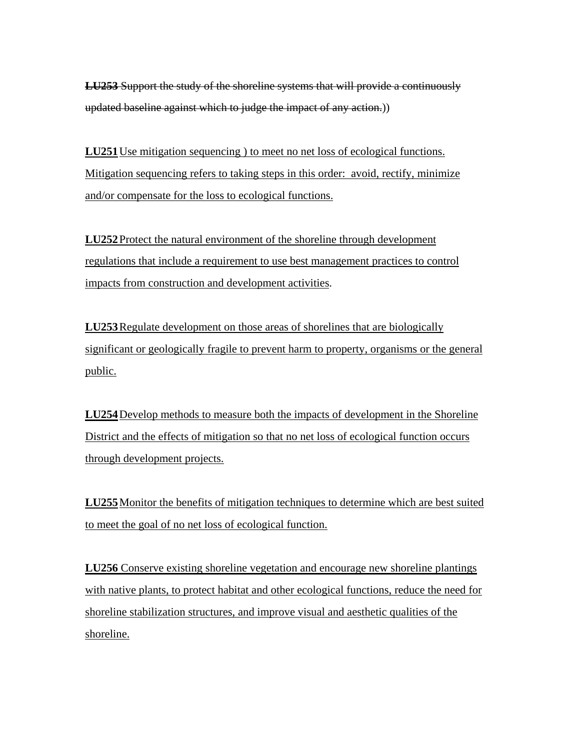**LU253** Support the study of the shoreline systems that will provide a continuously updated baseline against which to judge the impact of any action.))

**LU251** Use mitigation sequencing ) to meet no net loss of ecological functions. Mitigation sequencing refers to taking steps in this order: avoid, rectify, minimize and/or compensate for the loss to ecological functions.

**LU252** Protect the natural environment of the shoreline through development regulations that include a requirement to use best management practices to control impacts from construction and development activities.

**LU253** Regulate development on those areas of shorelines that are biologically significant or geologically fragile to prevent harm to property, organisms or the general public.

**LU254** Develop methods to measure both the impacts of development in the Shoreline District and the effects of mitigation so that no net loss of ecological function occurs through development projects.

**LU255** Monitor the benefits of mitigation techniques to determine which are best suited to meet the goal of no net loss of ecological function.

**LU256** Conserve existing shoreline vegetation and encourage new shoreline plantings with native plants, to protect habitat and other ecological functions, reduce the need for shoreline stabilization structures, and improve visual and aesthetic qualities of the shoreline.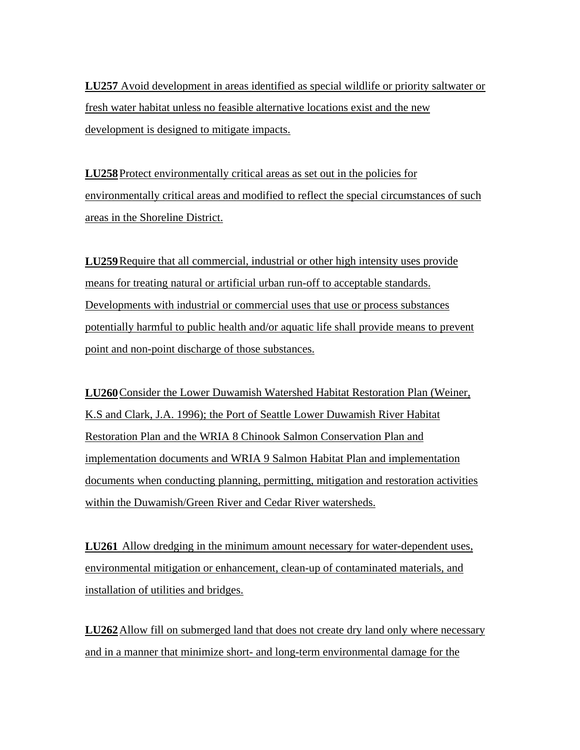**LU257** Avoid development in areas identified as special wildlife or priority saltwater or fresh water habitat unless no feasible alternative locations exist and the new development is designed to mitigate impacts.

**LU258** Protect environmentally critical areas as set out in the policies for environmentally critical areas and modified to reflect the special circumstances of such areas in the Shoreline District.

**LU259** Require that all commercial, industrial or other high intensity uses provide means for treating natural or artificial urban run-off to acceptable standards. Developments with industrial or commercial uses that use or process substances potentially harmful to public health and/or aquatic life shall provide means to prevent point and non-point discharge of those substances.

**LU260** Consider the Lower Duwamish Watershed Habitat Restoration Plan (Weiner, K.S and Clark, J.A. 1996); the Port of Seattle Lower Duwamish River Habitat Restoration Plan and the WRIA 8 Chinook Salmon Conservation Plan and implementation documents and WRIA 9 Salmon Habitat Plan and implementation documents when conducting planning, permitting, mitigation and restoration activities within the Duwamish/Green River and Cedar River watersheds.

**LU261** Allow dredging in the minimum amount necessary for water-dependent uses, environmental mitigation or enhancement, clean-up of contaminated materials, and installation of utilities and bridges.

**LU262** Allow fill on submerged land that does not create dry land only where necessary and in a manner that minimize short- and long-term environmental damage for the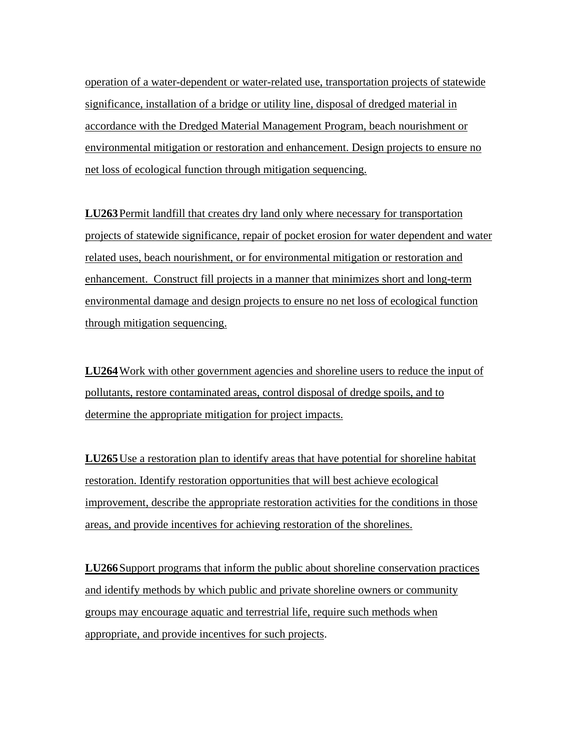operation of a water-dependent or water-related use, transportation projects of statewide significance, installation of a bridge or utility line, disposal of dredged material in accordance with the Dredged Material Management Program, beach nourishment or environmental mitigation or restoration and enhancement. Design projects to ensure no net loss of ecological function through mitigation sequencing.

**LU263** Permit landfill that creates dry land only where necessary for transportation projects of statewide significance, repair of pocket erosion for water dependent and water related uses, beach nourishment, or for environmental mitigation or restoration and enhancement. Construct fill projects in a manner that minimizes short and long-term environmental damage and design projects to ensure no net loss of ecological function through mitigation sequencing.

**LU264**Work with other government agencies and shoreline users to reduce the input of pollutants, restore contaminated areas, control disposal of dredge spoils, and to determine the appropriate mitigation for project impacts.

**LU265** Use a restoration plan to identify areas that have potential for shoreline habitat restoration. Identify restoration opportunities that will best achieve ecological improvement, describe the appropriate restoration activities for the conditions in those areas, and provide incentives for achieving restoration of the shorelines.

**LU266** Support programs that inform the public about shoreline conservation practices and identify methods by which public and private shoreline owners or community groups may encourage aquatic and terrestrial life, require such methods when appropriate, and provide incentives for such projects.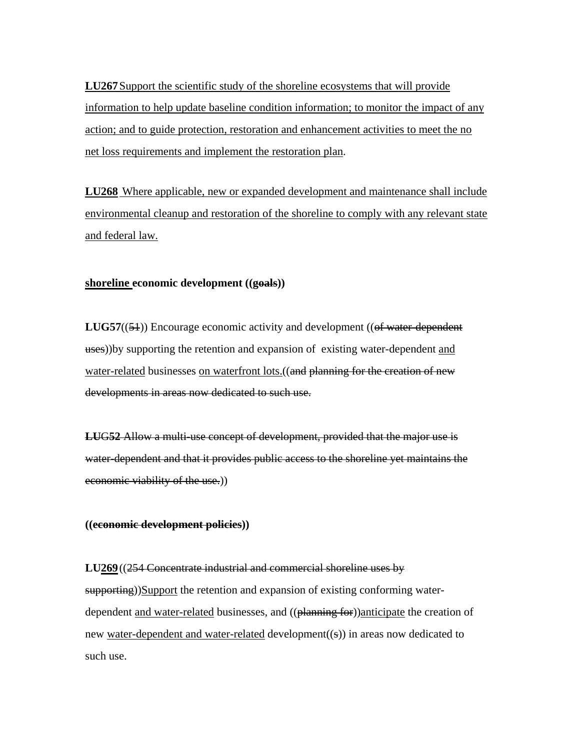**LU267** Support the scientific study of the shoreline ecosystems that will provide information to help update baseline condition information; to monitor the impact of any action; and to guide protection, restoration and enhancement activities to meet the no net loss requirements and implement the restoration plan.

**LU268** Where applicable, new or expanded development and maintenance shall include environmental cleanup and restoration of the shoreline to comply with any relevant state and federal law.

### **shoreline economic development ((goals))**

**LUG57((54))** Encourage economic activity and development ((of water-dependent uses))by supporting the retention and expansion of existing water-dependent and water-related businesses on waterfront lots. ((and planning for the creation of new developments in areas now dedicated to such use.

**LU**G**52** Allow a multi-use concept of development, provided that the major use is water-dependent and that it provides public access to the shoreline yet maintains the economic viability of the use.))

#### **((economic development policies))**

**LU269** ((254 Concentrate industrial and commercial shoreline uses by supporting))Support the retention and expansion of existing conforming waterdependent and water-related businesses, and ((planning for))anticipate the creation of new water-dependent and water-related development((s)) in areas now dedicated to such use.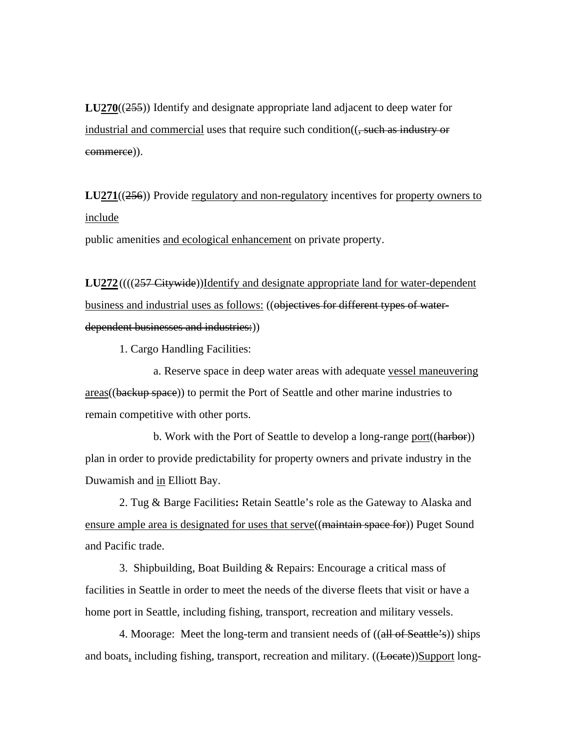**LU270**((255)) Identify and designate appropriate land adjacent to deep water for industrial and commercial uses that require such condition((, such as industry or commerce)).

**LU271**((256)) Provide regulatory and non-regulatory incentives for property owners to include

public amenities and ecological enhancement on private property.

LU272((((257 Citywide))Identify and designate appropriate land for water-dependent business and industrial uses as follows: ((objectives for different types of waterdependent businesses and industries:))

1. Cargo Handling Facilities:

a. Reserve space in deep water areas with adequate vessel maneuvering areas((backup space)) to permit the Port of Seattle and other marine industries to remain competitive with other ports.

b. Work with the Port of Seattle to develop a long-range port((harbor)) plan in order to provide predictability for property owners and private industry in the Duwamish and in Elliott Bay.

2. Tug & Barge Facilities**:** Retain Seattle's role as the Gateway to Alaska and ensure ample area is designated for uses that serve((maintain space for)) Puget Sound and Pacific trade.

3. Shipbuilding, Boat Building & Repairs: Encourage a critical mass of facilities in Seattle in order to meet the needs of the diverse fleets that visit or have a home port in Seattle, including fishing, transport, recreation and military vessels.

4. Moorage: Meet the long-term and transient needs of  $((\text{all of Seattle's}))$  ships and boats, including fishing, transport, recreation and military. ((Locate))Support long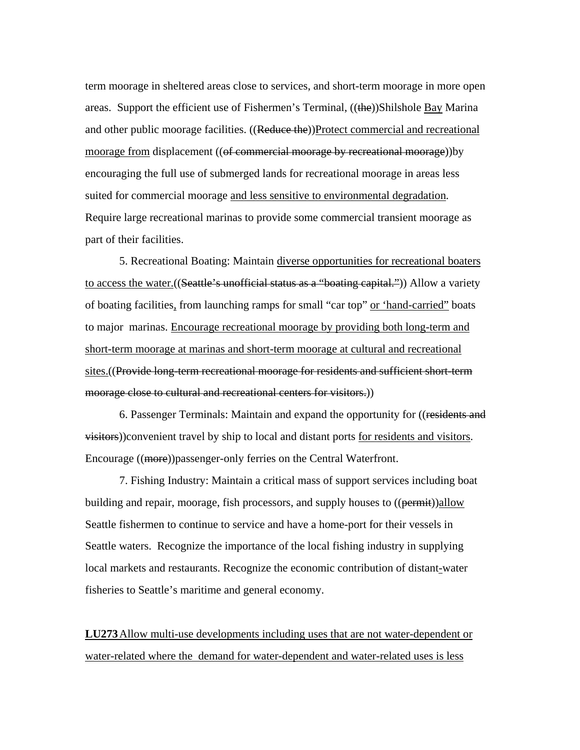term moorage in sheltered areas close to services, and short-term moorage in more open areas. Support the efficient use of Fishermen's Terminal, ((the))Shilshole Bay Marina and other public moorage facilities. ((Reduce the))Protect commercial and recreational moorage from displacement ((of commercial moorage by recreational moorage))by encouraging the full use of submerged lands for recreational moorage in areas less suited for commercial moorage and less sensitive to environmental degradation. Require large recreational marinas to provide some commercial transient moorage as part of their facilities.

5. Recreational Boating: Maintain diverse opportunities for recreational boaters to access the water.((Seattle's unofficial status as a "boating capital.")) Allow a variety of boating facilities, from launching ramps for small "car top" or 'hand-carried" boats to major marinas. Encourage recreational moorage by providing both long-term and short-term moorage at marinas and short-term moorage at cultural and recreational sites.((Provide long-term recreational moorage for residents and sufficient short-term moorage close to cultural and recreational centers for visitors.))

6. Passenger Terminals: Maintain and expand the opportunity for ((residents and visitors))convenient travel by ship to local and distant ports for residents and visitors. Encourage ((more))passenger-only ferries on the Central Waterfront.

7. Fishing Industry: Maintain a critical mass of support services including boat building and repair, moorage, fish processors, and supply houses to ((permit))allow Seattle fishermen to continue to service and have a home-port for their vessels in Seattle waters. Recognize the importance of the local fishing industry in supplying local markets and restaurants. Recognize the economic contribution of distant-water fisheries to Seattle's maritime and general economy.

**LU273** Allow multi-use developments including uses that are not water-dependent or water-related where the demand for water-dependent and water-related uses is less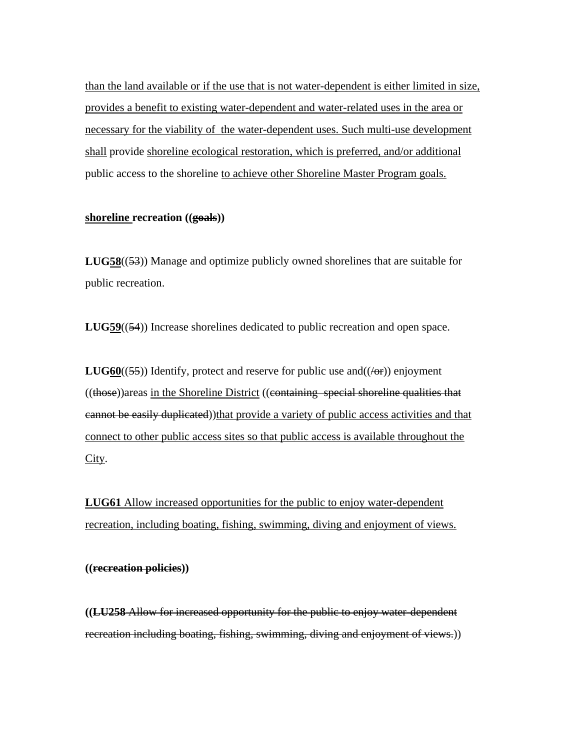than the land available or if the use that is not water-dependent is either limited in size, provides a benefit to existing water-dependent and water-related uses in the area or necessary for the viability of the water-dependent uses. Such multi-use development shall provide shoreline ecological restoration, which is preferred, and/or additional public access to the shoreline to achieve other Shoreline Master Program goals.

### **shoreline recreation ((goals))**

**LUG58**((53)) Manage and optimize publicly owned shorelines that are suitable for public recreation.

**LUG59**((54)) Increase shorelines dedicated to public recreation and open space.

**LUG60(** $(55)$ **) Identify, protect and reserve for public use and**  $((\n\angle \theta \cdot \mathbf{r}))$  **enjoyment** ((those))areas in the Shoreline District ((containing special shoreline qualities that eannot be easily duplicated))that provide a variety of public access activities and that connect to other public access sites so that public access is available throughout the City.

**LUG61** Allow increased opportunities for the public to enjoy water-dependent recreation, including boating, fishing, swimming, diving and enjoyment of views.

**((recreation policies))**

**((LU258** Allow for increased opportunity for the public to enjoy water-dependent recreation including boating, fishing, swimming, diving and enjoyment of views.))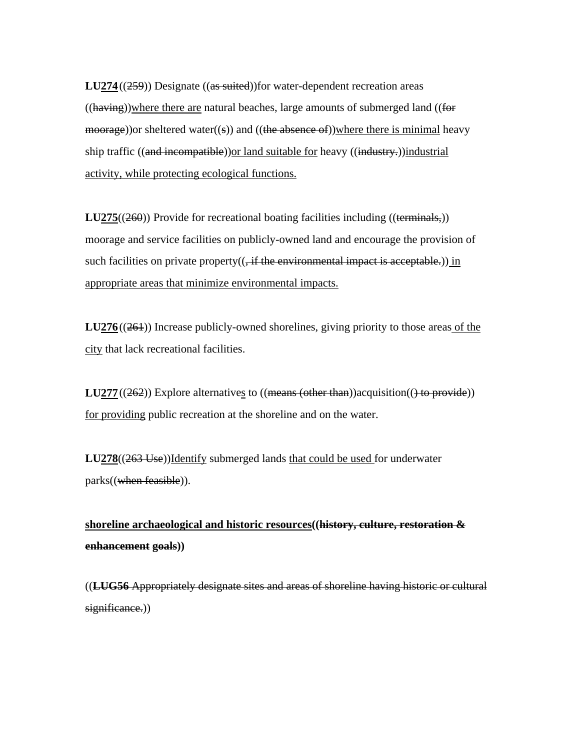**LU274** ((259)) Designate ((as suited))for water-dependent recreation areas  $((having))$  where there are natural beaches, large amounts of submerged land  $((for$  $\overline{m}{o}$  or sheltered water((s)) and ((the absence of))where there is minimal heavy ship traffic ((and incompatible)) or land suitable for heavy ((industry.)) industrial activity, while protecting ecological functions.

**LU275**((260)) Provide for recreational boating facilities including ((terminals,)) moorage and service facilities on publicly-owned land and encourage the provision of such facilities on private property $((, if the environmental impact is acceptable.))$  in appropriate areas that minimize environmental impacts.

**LU276** ((261)) Increase publicly-owned shorelines, giving priority to those areas of the city that lack recreational facilities.

**LU277** ((262)) Explore alternatives to ((means (other than)) acquisition(() to provide)) for providing public recreation at the shoreline and on the water.

**LU278**((263 Use))Identify submerged lands that could be used for underwater parks((when feasible)).

**shoreline archaeological and historic resources((history, culture, restoration & enhancement goals))** 

((**LUG56** Appropriately designate sites and areas of shoreline having historic or cultural significance.)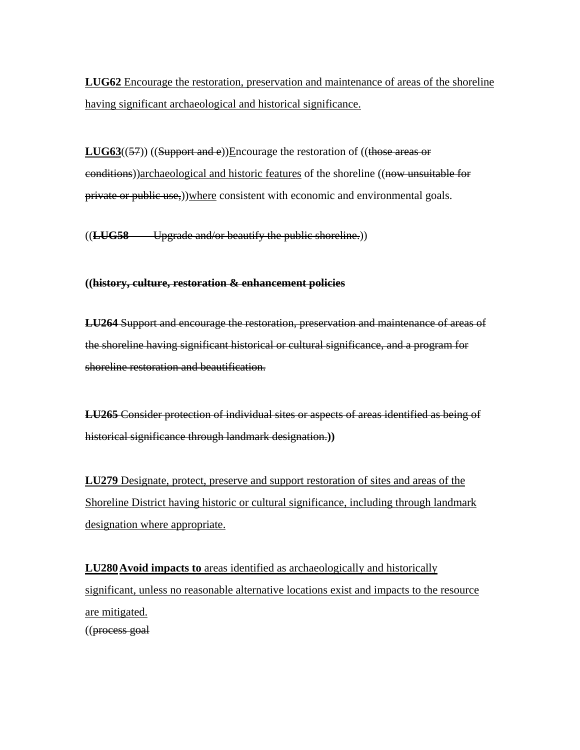**LUG62** Encourage the restoration, preservation and maintenance of areas of the shoreline having significant archaeological and historical significance.

**LUG63((57)) ((Support and e))Encourage the restoration of ((those areas or** conditions))archaeological and historic features of the shoreline ((now unsuitable for private or public use,))where consistent with economic and environmental goals.

((**LUG58** Upgrade and/or beautify the public shoreline.))

### **((history, culture, restoration & enhancement policies**

**LU264** Support and encourage the restoration, preservation and maintenance of areas of the shoreline having significant historical or cultural significance, and a program for shoreline restoration and beautification.

**LU265** Consider protection of individual sites or aspects of areas identified as being of historical significance through landmark designation.**))**

**LU279** Designate, protect, preserve and support restoration of sites and areas of the Shoreline District having historic or cultural significance, including through landmark designation where appropriate.

**LU280 Avoid impacts to** areas identified as archaeologically and historically significant, unless no reasonable alternative locations exist and impacts to the resource are mitigated. ((process goal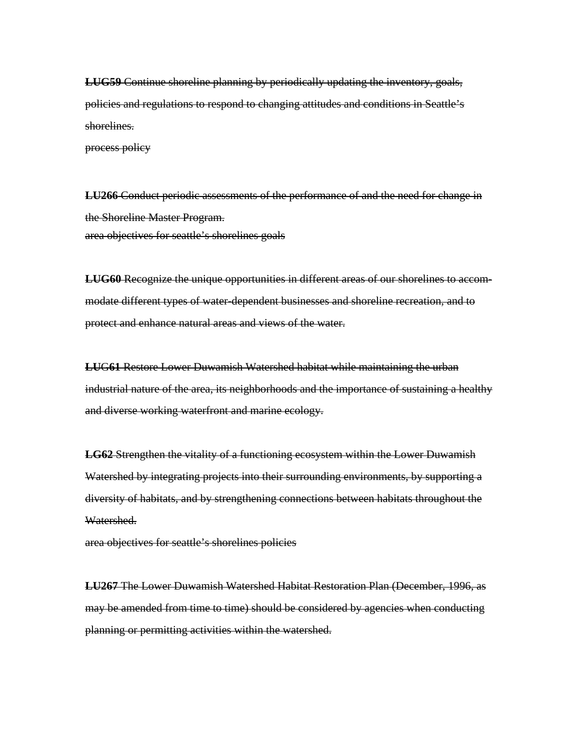**LUG59** Continue shoreline planning by periodically updating the inventory, goals, policies and regulations to respond to changing attitudes and conditions in Seattle's shorelines.

process policy

**LU266** Conduct periodic assessments of the performance of and the need for change in the Shoreline Master Program. area objectives for seattle's shorelines goals

**LUG60** Recognize the unique opportunities in different areas of our shorelines to accommodate different types of water-dependent businesses and shoreline recreation, and to protect and enhance natural areas and views of the water.

**LU**G**61** Restore Lower Duwamish Watershed habitat while maintaining the urban industrial nature of the area, its neighborhoods and the importance of sustaining a healthy and diverse working waterfront and marine ecology.

**LG62** Strengthen the vitality of a functioning ecosystem within the Lower Duwamish Watershed by integrating projects into their surrounding environments, by supporting a diversity of habitats, and by strengthening connections between habitats throughout the Watershed.

area objectives for seattle's shorelines policies

**LU267** The Lower Duwamish Watershed Habitat Restoration Plan (December, 1996, as may be amended from time to time) should be considered by agencies when conducting planning or permitting activities within the watershed.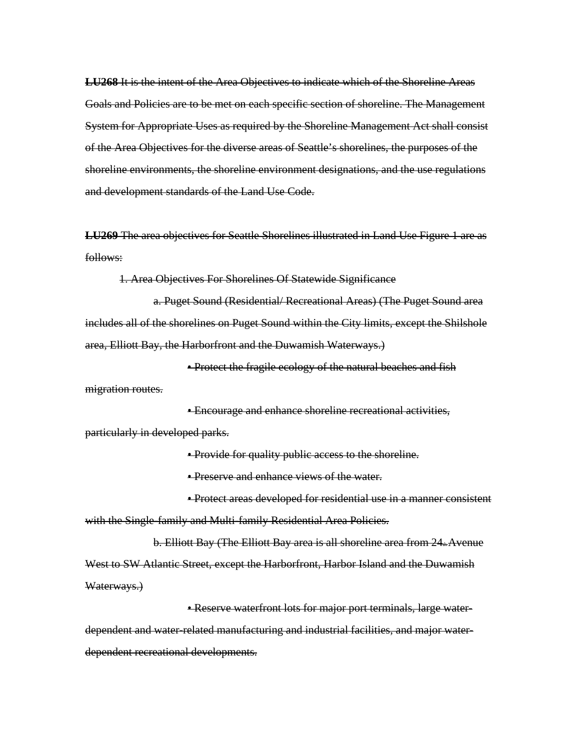**LU268** It is the intent of the Area Objectives to indicate which of the Shoreline Areas Goals and Policies are to be met on each specific section of shoreline. The Management System for Appropriate Uses as required by the Shoreline Management Act shall consist of the Area Objectives for the diverse areas of Seattle's shorelines, the purposes of the shoreline environments, the shoreline environment designations, and the use regulations and development standards of the Land Use Code.

**LU269** The area objectives for Seattle Shorelines illustrated in Land Use Figure 1 are as follows:

1. Area Objectives For Shorelines Of Statewide Significance

a. Puget Sound (Residential/ Recreational Areas) (The Puget Sound area includes all of the shorelines on Puget Sound within the City limits, except the Shilshole area, Elliott Bay, the Harborfront and the Duwamish Waterways.)

• Protect the fragile ecology of the natural beaches and fish migration routes.

• Encourage and enhance shoreline recreational activities, particularly in developed parks.

• Provide for quality public access to the shoreline.

• Preserve and enhance views of the water.

• Protect areas developed for residential use in a manner consistent with the Single-family and Multi-family Residential Area Policies.

b. Elliott Bay (The Elliott Bay area is all shoreline area from  $24*$ Avenue West to SW Atlantic Street, except the Harborfront, Harbor Island and the Duwamish Waterways.)

• Reserve waterfront lots for major port terminals, large waterdependent and water-related manufacturing and industrial facilities, and major waterdependent recreational developments.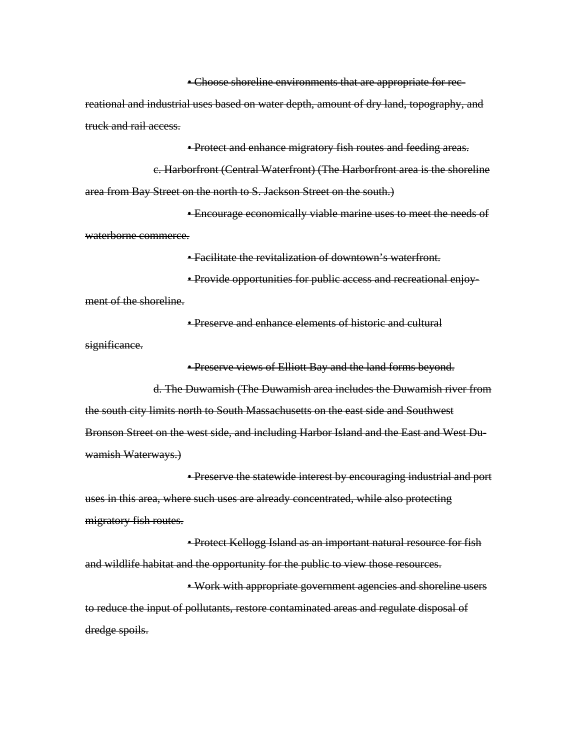• Choose shoreline environments that are appropriate for recreational and industrial uses based on water depth, amount of dry land, topography, and truck and rail access.

**• Protect and enhance migratory fish routes and feeding areas.** 

c. Harborfront (Central Waterfront) (The Harborfront area is the shoreline area from Bay Street on the north to S. Jackson Street on the south.)

• Encourage economically viable marine uses to meet the needs of waterborne commerce.

• Facilitate the revitalization of downtown's waterfront.

• Provide opportunities for public access and recreational enjoyment of the shoreline.

• Preserve and enhance elements of historic and cultural

significance.

• Preserve views of Elliott Bay and the land forms beyond.

d. The Duwamish (The Duwamish area includes the Duwamish river from the south city limits north to South Massachusetts on the east side and Southwest Bronson Street on the west side, and including Harbor Island and the East and West Duwamish Waterways.)

• Preserve the statewide interest by encouraging industrial and port uses in this area, where such uses are already concentrated, while also protecting migratory fish routes.

• Protect Kellogg Island as an important natural resource for fish and wildlife habitat and the opportunity for the public to view those resources.

• Work with appropriate government agencies and shoreline users to reduce the input of pollutants, restore contaminated areas and regulate disposal of dredge spoils.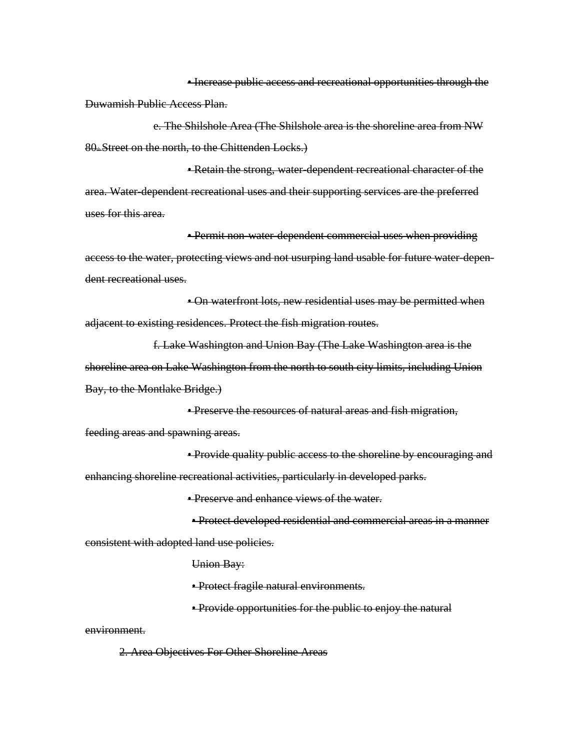• Increase public access and recreational opportunities through the Duwamish Public Access Plan.

e. The Shilshole Area (The Shilshole area is the shoreline area from NW  $80<sub>th</sub>$  Street on the north, to the Chittenden Locks.)

• Retain the strong, water-dependent recreational character of the area. Water-dependent recreational uses and their supporting services are the preferred uses for this area.

• Permit non-water-dependent commercial uses when providing access to the water, protecting views and not usurping land usable for future water-dependent recreational uses.

• On waterfront lots, new residential uses may be permitted when adjacent to existing residences. Protect the fish migration routes.

f. Lake Washington and Union Bay (The Lake Washington area is the shoreline area on Lake Washington from the north to south city limits, including Union Bay, to the Montlake Bridge.)

• Preserve the resources of natural areas and fish migration, feeding areas and spawning areas.

• Provide quality public access to the shoreline by encouraging and enhancing shoreline recreational activities, particularly in developed parks.

• Preserve and enhance views of the water.

• Protect developed residential and commercial areas in a manner consistent with adopted land use policies.

Union Bay:

• Protect fragile natural environments.

• Provide opportunities for the public to enjoy the natural

environment.

2. Area Objectives For Other Shoreline Areas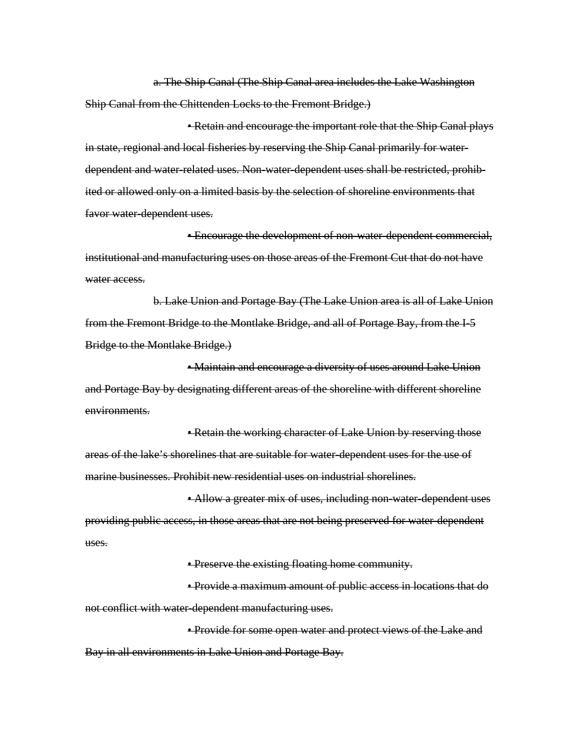a. The Ship Canal (The Ship Canal area includes the Lake Washington Ship Canal from the Chittenden Locks to the Fremont Bridge.)

• Retain and encourage the important role that the Ship Canal plays in state, regional and local fisheries by reserving the Ship Canal primarily for waterdependent and water-related uses. Non-water-dependent uses shall be restricted, prohibited or allowed only on a limited basis by the selection of shoreline environments that favor water-dependent uses.

• Encourage the development of non-water-dependent commercial, institutional and manufacturing uses on those areas of the Fremont Cut that do not have water access.

b. Lake Union and Portage Bay (The Lake Union area is all of Lake Union from the Fremont Bridge to the Montlake Bridge, and all of Portage Bay, from the I-5 Bridge to the Montlake Bridge.)

• Maintain and encourage a diversity of uses around Lake Union and Portage Bay by designating different areas of the shoreline with different shoreline environments.

• Retain the working character of Lake Union by reserving those areas of the lake's shorelines that are suitable for water-dependent uses for the use of marine businesses. Prohibit new residential uses on industrial shorelines.

• Allow a greater mix of uses, including non-water-dependent uses providing public access, in those areas that are not being preserved for water-dependent uses.

• Preserve the existing floating home community.

• Provide a maximum amount of public access in locations that do not conflict with water-dependent manufacturing uses.

• Provide for some open water and protect views of the Lake and Bay in all environments in Lake Union and Portage Bay.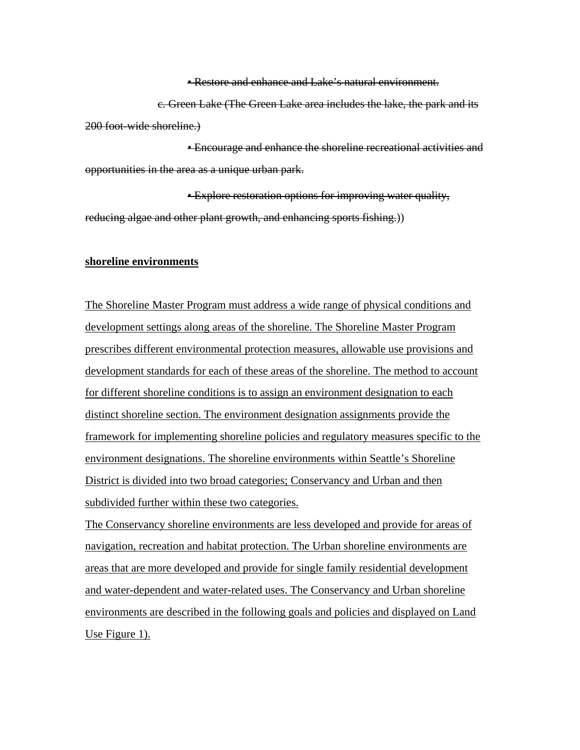• Restore and enhance and Lake's natural environment.

c. Green Lake (The Green Lake area includes the lake, the park and its 200 foot-wide shoreline.)

• Encourage and enhance the shoreline recreational activities and opportunities in the area as a unique urban park.

• Explore restoration options for improving water quality, reducing algae and other plant growth, and enhancing sports fishing.))

#### **shoreline environments**

The Shoreline Master Program must address a wide range of physical conditions and development settings along areas of the shoreline. The Shoreline Master Program prescribes different environmental protection measures, allowable use provisions and development standards for each of these areas of the shoreline. The method to account for different shoreline conditions is to assign an environment designation to each distinct shoreline section. The environment designation assignments provide the framework for implementing shoreline policies and regulatory measures specific to the environment designations. The shoreline environments within Seattle's Shoreline District is divided into two broad categories; Conservancy and Urban and then subdivided further within these two categories.

The Conservancy shoreline environments are less developed and provide for areas of navigation, recreation and habitat protection. The Urban shoreline environments are areas that are more developed and provide for single family residential development and water-dependent and water-related uses. The Conservancy and Urban shoreline environments are described in the following goals and policies and displayed on Land Use Figure 1).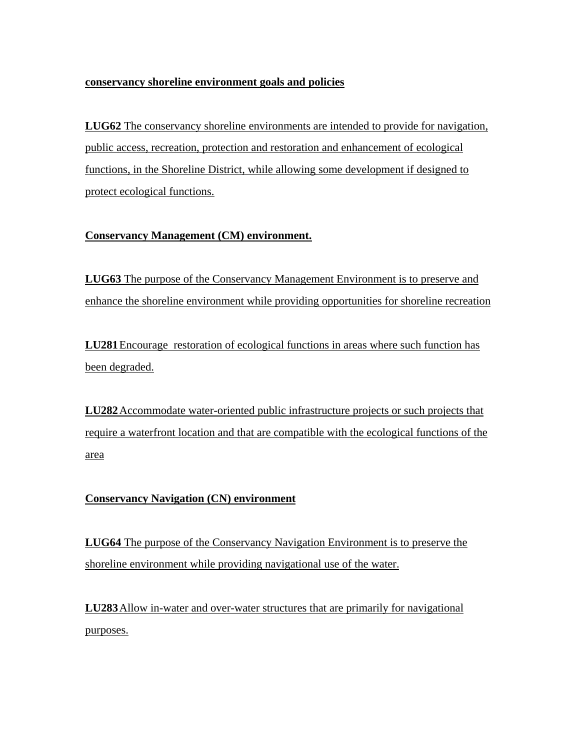### **conservancy shoreline environment goals and policies**

**LUG62** The conservancy shoreline environments are intended to provide for navigation, public access, recreation, protection and restoration and enhancement of ecological functions, in the Shoreline District, while allowing some development if designed to protect ecological functions.

## **Conservancy Management (CM) environment.**

**LUG63** The purpose of the Conservancy Management Environment is to preserve and enhance the shoreline environment while providing opportunities for shoreline recreation

**LU281** Encourage restoration of ecological functions in areas where such function has been degraded.

**LU282** Accommodate water-oriented public infrastructure projects or such projects that require a waterfront location and that are compatible with the ecological functions of the area

## **Conservancy Navigation (CN) environment**

**LUG64** The purpose of the Conservancy Navigation Environment is to preserve the shoreline environment while providing navigational use of the water.

**LU283** Allow in-water and over-water structures that are primarily for navigational purposes.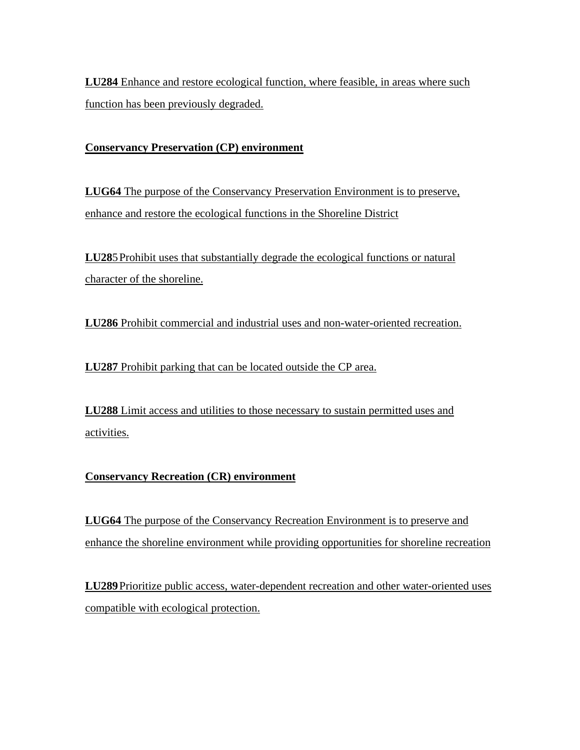**LU284** Enhance and restore ecological function, where feasible, in areas where such function has been previously degraded.

## **Conservancy Preservation (CP) environment**

**LUG64** The purpose of the Conservancy Preservation Environment is to preserve, enhance and restore the ecological functions in the Shoreline District

**LU28**5 Prohibit uses that substantially degrade the ecological functions or natural character of the shoreline.

**LU286** Prohibit commercial and industrial uses and non-water-oriented recreation.

**LU287** Prohibit parking that can be located outside the CP area.

**LU288** Limit access and utilities to those necessary to sustain permitted uses and activities.

## **Conservancy Recreation (CR) environment**

**LUG64** The purpose of the Conservancy Recreation Environment is to preserve and enhance the shoreline environment while providing opportunities for shoreline recreation

**LU289** Prioritize public access, water-dependent recreation and other water-oriented uses compatible with ecological protection.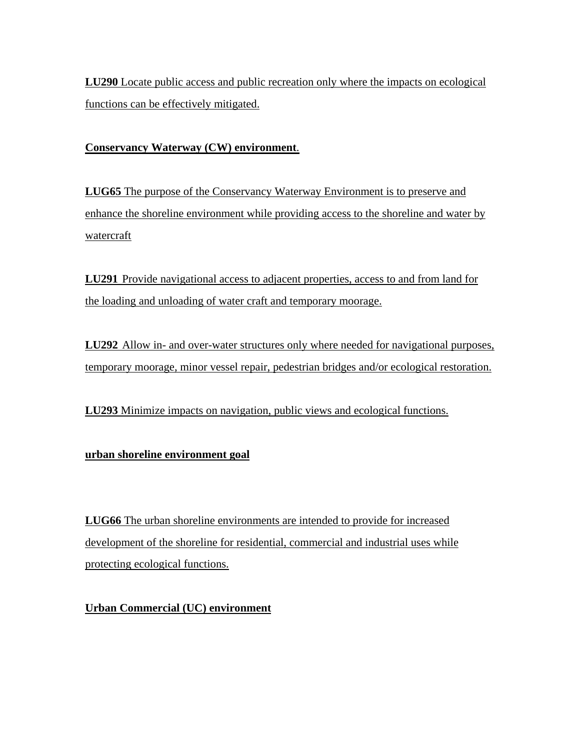**LU290** Locate public access and public recreation only where the impacts on ecological functions can be effectively mitigated.

## **Conservancy Waterway (CW) environment**.

**LUG65** The purpose of the Conservancy Waterway Environment is to preserve and enhance the shoreline environment while providing access to the shoreline and water by watercraft

**LU291** Provide navigational access to adjacent properties, access to and from land for the loading and unloading of water craft and temporary moorage.

**LU292** Allow in- and over-water structures only where needed for navigational purposes, temporary moorage, minor vessel repair, pedestrian bridges and/or ecological restoration.

**LU293** Minimize impacts on navigation, public views and ecological functions.

## **urban shoreline environment goal**

**LUG66** The urban shoreline environments are intended to provide for increased development of the shoreline for residential, commercial and industrial uses while protecting ecological functions.

**Urban Commercial (UC) environment**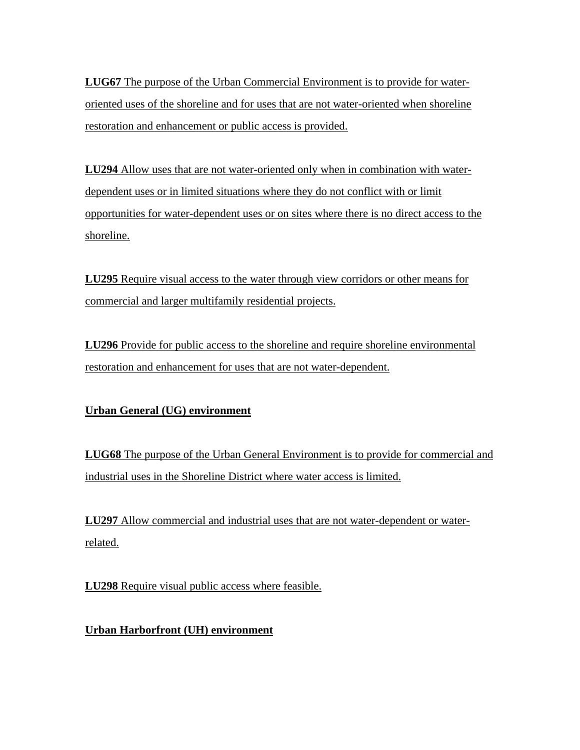**LUG67** The purpose of the Urban Commercial Environment is to provide for wateroriented uses of the shoreline and for uses that are not water-oriented when shoreline restoration and enhancement or public access is provided.

**LU294** Allow uses that are not water-oriented only when in combination with waterdependent uses or in limited situations where they do not conflict with or limit opportunities for water-dependent uses or on sites where there is no direct access to the shoreline.

**LU295** Require visual access to the water through view corridors or other means for commercial and larger multifamily residential projects.

**LU296** Provide for public access to the shoreline and require shoreline environmental restoration and enhancement for uses that are not water-dependent.

# **Urban General (UG) environment**

**LUG68** The purpose of the Urban General Environment is to provide for commercial and industrial uses in the Shoreline District where water access is limited.

**LU297** Allow commercial and industrial uses that are not water-dependent or waterrelated.

**LU298** Require visual public access where feasible.

**Urban Harborfront (UH) environment**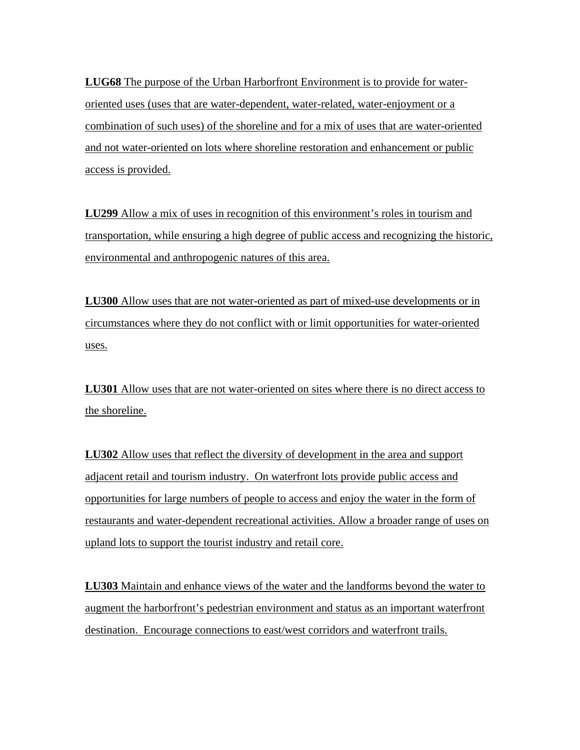**LUG68** The purpose of the Urban Harborfront Environment is to provide for wateroriented uses (uses that are water-dependent, water-related, water-enjoyment or a combination of such uses) of the shoreline and for a mix of uses that are water-oriented and not water-oriented on lots where shoreline restoration and enhancement or public access is provided.

**LU299** Allow a mix of uses in recognition of this environment's roles in tourism and transportation, while ensuring a high degree of public access and recognizing the historic, environmental and anthropogenic natures of this area.

**LU300** Allow uses that are not water-oriented as part of mixed-use developments or in circumstances where they do not conflict with or limit opportunities for water-oriented uses.

**LU301** Allow uses that are not water-oriented on sites where there is no direct access to the shoreline.

**LU302** Allow uses that reflect the diversity of development in the area and support adjacent retail and tourism industry. On waterfront lots provide public access and opportunities for large numbers of people to access and enjoy the water in the form of restaurants and water-dependent recreational activities. Allow a broader range of uses on upland lots to support the tourist industry and retail core.

**LU303** Maintain and enhance views of the water and the landforms beyond the water to augment the harborfront's pedestrian environment and status as an important waterfront destination. Encourage connections to east/west corridors and waterfront trails.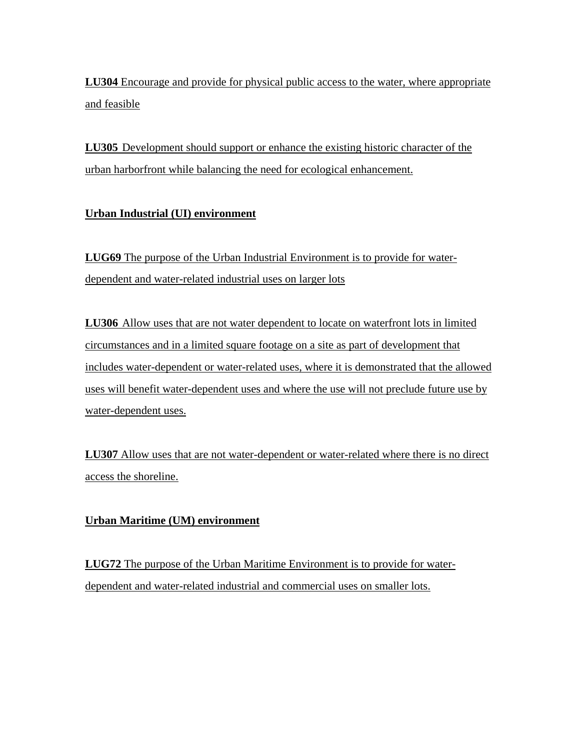**LU304** Encourage and provide for physical public access to the water, where appropriate and feasible

**LU305** Development should support or enhance the existing historic character of the urban harborfront while balancing the need for ecological enhancement.

# **Urban Industrial (UI) environment**

**LUG69** The purpose of the Urban Industrial Environment is to provide for waterdependent and water-related industrial uses on larger lots

**LU306** Allow uses that are not water dependent to locate on waterfront lots in limited circumstances and in a limited square footage on a site as part of development that includes water-dependent or water-related uses, where it is demonstrated that the allowed uses will benefit water-dependent uses and where the use will not preclude future use by water-dependent uses.

**LU307** Allow uses that are not water-dependent or water-related where there is no direct access the shoreline.

## **Urban Maritime (UM) environment**

**LUG72** The purpose of the Urban Maritime Environment is to provide for waterdependent and water-related industrial and commercial uses on smaller lots.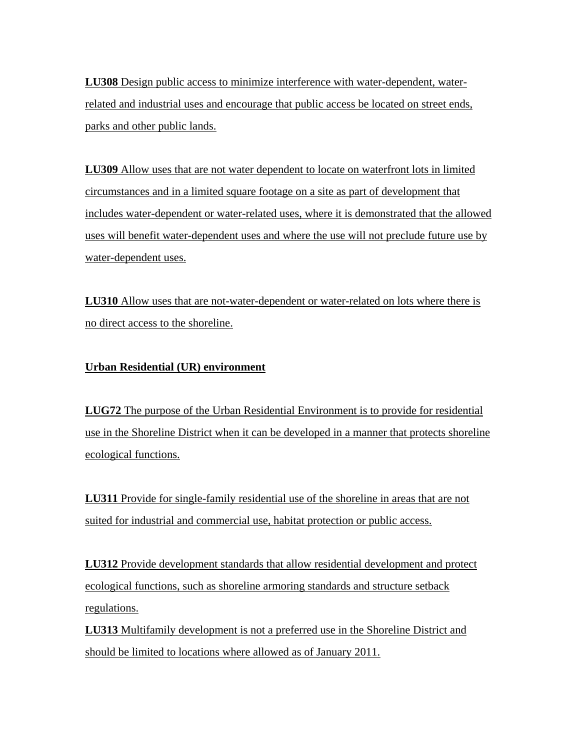**LU308** Design public access to minimize interference with water-dependent, waterrelated and industrial uses and encourage that public access be located on street ends, parks and other public lands.

**LU309** Allow uses that are not water dependent to locate on waterfront lots in limited circumstances and in a limited square footage on a site as part of development that includes water-dependent or water-related uses, where it is demonstrated that the allowed uses will benefit water-dependent uses and where the use will not preclude future use by water-dependent uses.

**LU310** Allow uses that are not-water-dependent or water-related on lots where there is no direct access to the shoreline.

## **Urban Residential (UR) environment**

**LUG72** The purpose of the Urban Residential Environment is to provide for residential use in the Shoreline District when it can be developed in a manner that protects shoreline ecological functions.

**LU311** Provide for single-family residential use of the shoreline in areas that are not suited for industrial and commercial use, habitat protection or public access.

**LU312** Provide development standards that allow residential development and protect ecological functions, such as shoreline armoring standards and structure setback regulations.

**LU313** Multifamily development is not a preferred use in the Shoreline District and should be limited to locations where allowed as of January 2011.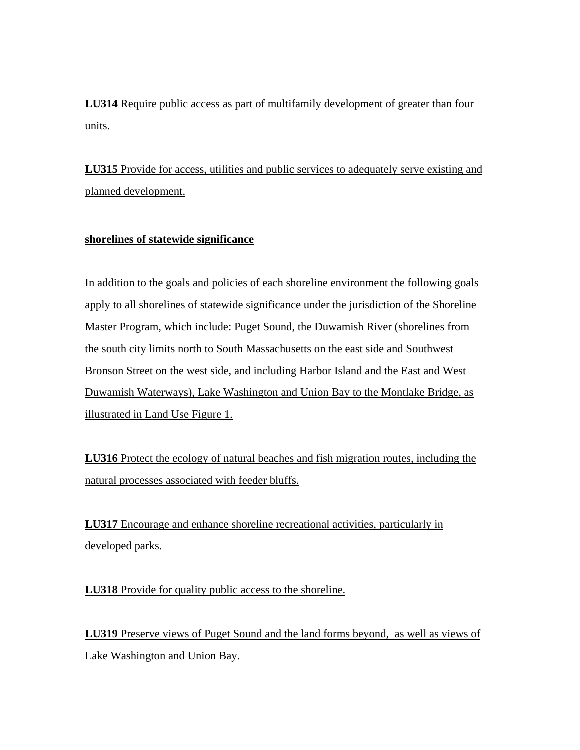**LU314** Require public access as part of multifamily development of greater than four units.

**LU315** Provide for access, utilities and public services to adequately serve existing and planned development.

## **shorelines of statewide significance**

In addition to the goals and policies of each shoreline environment the following goals apply to all shorelines of statewide significance under the jurisdiction of the Shoreline Master Program, which include: Puget Sound, the Duwamish River (shorelines from the south city limits north to South Massachusetts on the east side and Southwest Bronson Street on the west side, and including Harbor Island and the East and West Duwamish Waterways), Lake Washington and Union Bay to the Montlake Bridge, as illustrated in Land Use Figure 1.

**LU316** Protect the ecology of natural beaches and fish migration routes, including the natural processes associated with feeder bluffs.

**LU317** Encourage and enhance shoreline recreational activities, particularly in developed parks.

**LU318** Provide for quality public access to the shoreline.

**LU319** Preserve views of Puget Sound and the land forms beyond, as well as views of Lake Washington and Union Bay.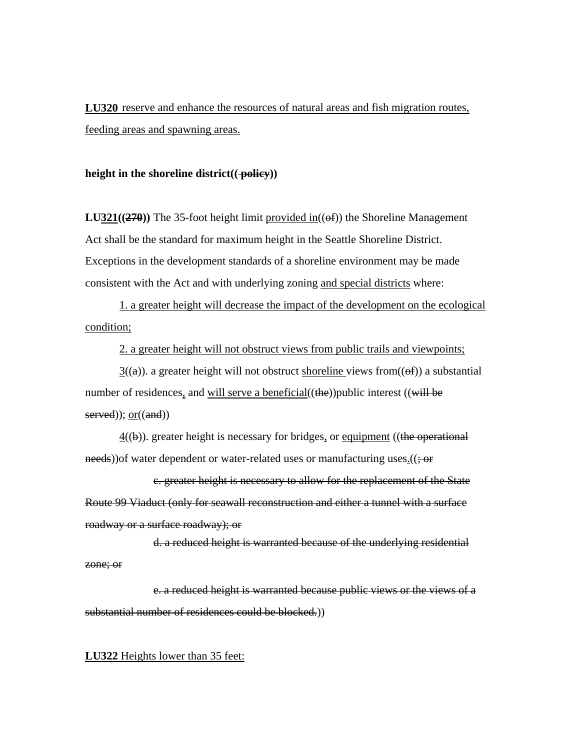**LU320** reserve and enhance the resources of natural areas and fish migration routes, feeding areas and spawning areas.

### height in the shoreline district((**policy**))

**LU321((270)**) The 35-foot height limit provided in( $(\theta f)$ ) the Shoreline Management Act shall be the standard for maximum height in the Seattle Shoreline District. Exceptions in the development standards of a shoreline environment may be made consistent with the Act and with underlying zoning and special districts where:

1. a greater height will decrease the impact of the development on the ecological condition;

2. a greater height will not obstruct views from public trails and viewpoints;

 $3((a))$ . a greater height will not obstruct shoreline views from  $((of))$  a substantial number of residences, and will serve a beneficial( $(\theta e)$ ) public interest ( $(\text{will be})$  $served$ );  $or((and))$ 

 $4(\theta)$ ). greater height is necessary for bridges, or equipment ((the operational  $\frac{\text{needs}}{\text{if}}$ ) of water dependent or water-related uses or manufacturing uses.

c. greater height is necessary to allow for the replacement of the State Route 99 Viaduct (only for seawall reconstruction and either a tunnel with a surface roadway or a surface roadway); or

d. a reduced height is warranted because of the underlying residential zone; or

e. a reduced height is warranted because public views or the views of a substantial number of residences could be blocked.)

### **LU322** Heights lower than 35 feet: